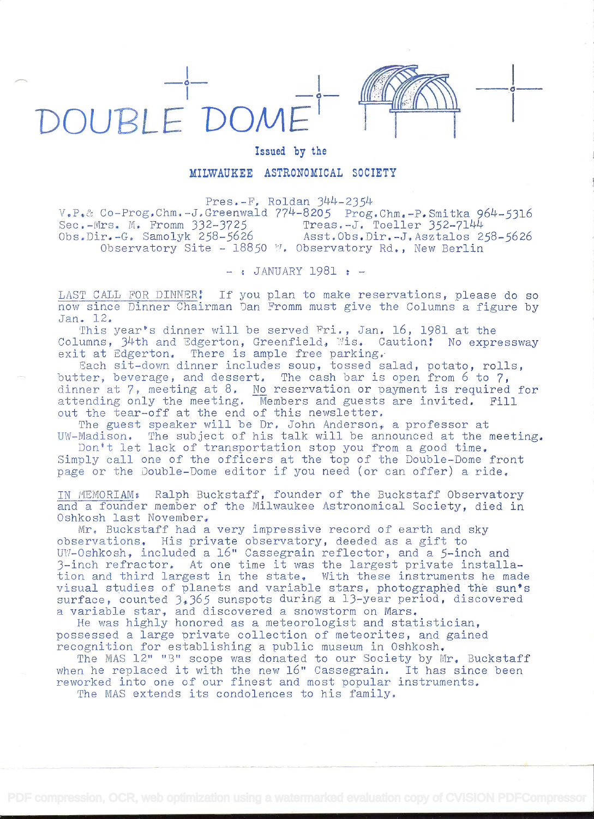## $-4 -4 \sqrt{10000000000000000000}$ DOUBLE DOMI



## Issued by the

## MILWAUKEE ASTRONOMICAL SOCIETY

Pres.-F. Roldan 344-2354

 $V_{\bullet}P_{\bullet}$ & Co-Prog.Chm.-J.Greenwald 774-8205 Prog.Chm.-P.Smitka 964-5316<br>Sec.-Mrs. M. Fromm 332-3725 Treas.-J. Toeller 352-7144 Sec.-Mrs. M. Fromm 332-3725 Treas.-J. Toeller 352-7144<br>Obs.Dir.-G. Samolyk 258-5626 Asst.Obs.Dir.-J.Asztalos 2 Asst.Obs.Dir.-J.Asztalos 258-5626 Observatory Site - 18850 W. Observatory Rd., New Berlin

 $-$ : JANUARY 1981 :  $-$ 

LAST CALL FOR DINNER: If you plan to make reservations, please do so now since Dinner Chairman Dan Fromm must give the Columns a figure by Jan. 12.

This year's dinner will be served Fri., Jan. 16, 1981 at the Columns, 34th and Edgerton, Greenfield, Mis. Caution: No expressway exit at Edgerton, There is ample free parking.

Each sit-down dinner includes soup, tossed salad, potato, rolls, butter, beverage, and dessert. The cash bar is open from 6 to 7, dinner at 7, meeting at 8. No reservation or payment is required for attending only the meeting. Members and guests are invited. Fill out the tear-off at the end of this newsletter.

The guest speaker will be Dr, John Anderson, a professor at UW-Madison. The subject of his talk will be announced at the meeting.

Don't let lack of transportation stop you from a good time. Simply call one of the officers at the top of the Double-Dome front page or the Double-Dome editor if you need (or can offer) a ride,

IN MEMORIAM: Ralph Buckstaff, founder of the Buckstaff Observatory and a founder member of the Milwaukee Astronomical Society, died in Oshkosh last November,

Mr. Buckstaff had a very impressive record of earth and sky observations, His private observatory, deeded as a gift to UW-Oshkosh, included a 16" Cassegrain reflector, and a 5-inch and 3-inch refractor. At one time it was the largest private installation and third largest in the state, With these instruments he made visual studies of planets and variable stars, photographed the sun's surface, counted  $3,365$  sunspots during a 13-year period, discovered a variable star, and discovered a snowstorm on Mars,

He was highly honored as a meteorologist and statistician, possessed a large private collection of meteorites, and gained recognition for establishing a public museum in Oshkosh,

The MAS 12" "B" scope was donated to our Society by Mr. Buckstaff when he replaced it with the new 16" Cassegrain. It has since been reworked into one of our finest and most popular instruments.

The MAS extends its condolences to his family.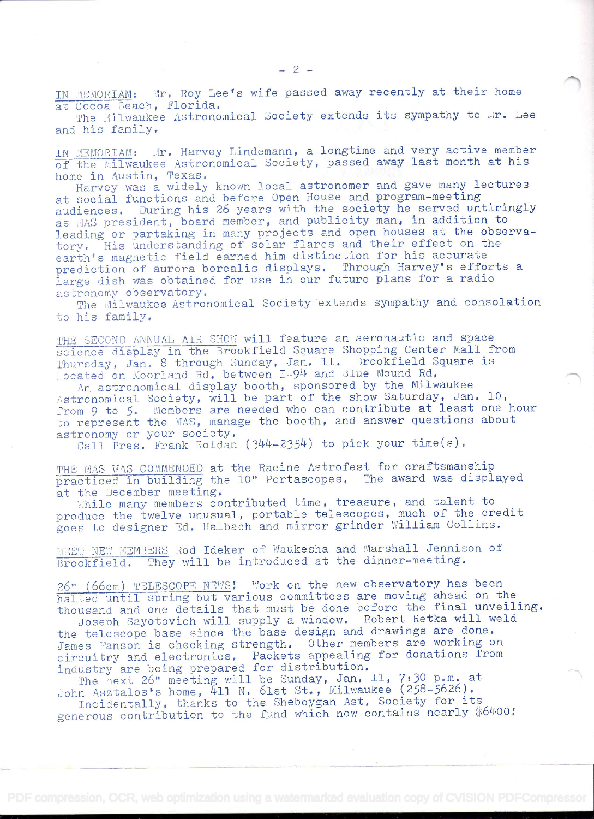IN MEMORIAM: Mr. Roy Lee's wife passed away recently at their home at Cocoa Beach, Florida.

The Milwaukee Astronomical Society extends its sympathy to .r. Lee and his family

IN MEMORIAM: Mr. Harvey Lindemann, a longtime and very active member of the Milwaukee Astronomical Society, passed away last month at his home in Austin, Texas.

Harvey was a widely known local astronomer and gave many lectures at social functions and before Open House and program-meeting audiences. During his 26 years with the society he served untiringly as MAS president, board member, and publicity man, in addition to leading or partaking in many projects and open houses at the observatory, His understanding of solar flares and their effect on the earth's magnetic field earned him distinction for his accurate prediction of aurora borealis displays. Through Harvey's efforts a large dish was obtained for use in our future plans for a radio astronomy observatory.

The Milwaukee Astronomical Society extends sympathy and consolation to his family.

THE SECOND ANNUAL AIR SHOW will feature an aeronautic and space science display in the Brookfield Square Shopping Center Mall from Thursday, Jan. 8 through Sunday, Jan. 11. Brookfield Square is located on Moorland Rd. between I-94 and Blue Mound Rd.

An astronomical display booth, sponsored by the Milwaukee Astronomical Society, will be part of the show Saturday, Jan. 10, from 9 to 5. Members are needed who can contribute at least one hour to represent the MAS, manage the booth, and answer questions about astronomy or your society.

Call Pres. Frank Roldan (344-2354) to pick your time(s).

THE MAS WAS COMMENDED at the Racine Astrofest for craftsmanship<br>practiced in building the 10" Portascopes. The award was displayed at the December meeting.

While many members contributed time, treasure, and talent to produce the twelve unusual, portable telescopes, much of the credit goes to designer Ed. Halbach and mirror grinder William Collins.

MEET NEW MEMBERS Rod Ideker of Waukesha and Marshall Jennison of Brookfield. They will be introduced at the dinner-meeting.

26" (66cm) TTLESCOPE NEWS! Work on the new observatory has been halted until spring but various committees are moving ahead on the thousand and one details that must be done before the final unveiling.

Joseph Sayotovich will supply a window. Robert Retka will weld the telescope base since the base design and drawings are done. James Fanson is checking strength. Other members are working on circuitry and electronics. Packets appealing for donations from industry are being prepared for distribution.

The next 26" meeting will be Sunday, Jan. 11, 7:30 p.m. at John Asztalos's home,  $\overline{4}11$  N. 61st St., Milwaukee (258-5626).

Incidentally., thanks to the Sheboygan Ast. Society for its generous contribution to the fund which now contains nearly \$6400!